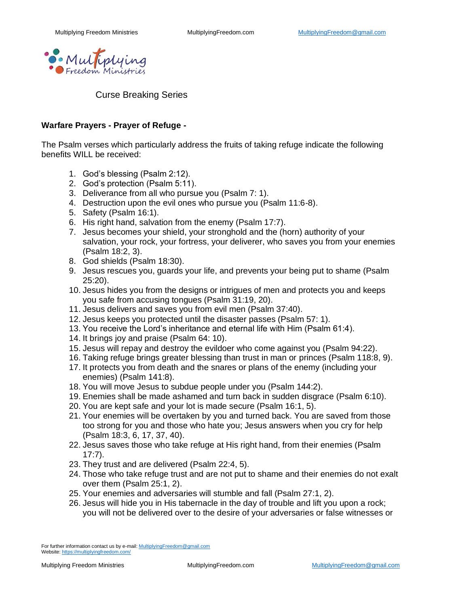

Curse Breaking Series

## **Warfare Prayers - Prayer of Refuge -**

The Psalm verses which particularly address the fruits of taking refuge indicate the following benefits WILL be received:

- 1. God's blessing (Psalm 2:12).
- 2. God's protection (Psalm 5:11).
- 3. Deliverance from all who pursue you (Psalm 7: 1).
- 4. Destruction upon the evil ones who pursue you (Psalm 11:6-8).
- 5. Safety (Psalm 16:1).
- 6. His right hand, salvation from the enemy (Psalm 17:7).
- 7. Jesus becomes your shield, your stronghold and the (horn) authority of your salvation, your rock, your fortress, your deliverer, who saves you from your enemies (Psalm 18:2, 3).
- 8. God shields (Psalm 18:30).
- 9. Jesus rescues you, guards your life, and prevents your being put to shame (Psalm 25:20).
- 10. Jesus hides you from the designs or intrigues of men and protects you and keeps you safe from accusing tongues (Psalm 31:19, 20).
- 11. Jesus delivers and saves you from evil men (Psalm 37:40).
- 12. Jesus keeps you protected until the disaster passes (Psalm 57: 1).
- 13. You receive the Lord's inheritance and eternal life with Him (Psalm 61:4).
- 14. It brings joy and praise (Psalm 64: 10).
- 15. Jesus will repay and destroy the evildoer who come against you (Psalm 94:22).
- 16. Taking refuge brings greater blessing than trust in man or princes (Psalm 118:8, 9).
- 17. It protects you from death and the snares or plans of the enemy (including your enemies) (Psalm 141:8).
- 18. You will move Jesus to subdue people under you (Psalm 144:2).
- 19. Enemies shall be made ashamed and turn back in sudden disgrace (Psalm 6:10).
- 20. You are kept safe and your lot is made secure (Psalm 16:1, 5).
- 21. Your enemies will be overtaken by you and turned back. You are saved from those too strong for you and those who hate you; Jesus answers when you cry for help (Psalm 18:3, 6, 17, 37, 40).
- 22. Jesus saves those who take refuge at His right hand, from their enemies (Psalm 17:7).
- 23. They trust and are delivered (Psalm 22:4, 5).
- 24. Those who take refuge trust and are not put to shame and their enemies do not exalt over them (Psalm 25:1, 2).
- 25. Your enemies and adversaries will stumble and fall (Psalm 27:1, 2).
- 26. Jesus will hide you in His tabernacle in the day of trouble and lift you upon a rock; you will not be delivered over to the desire of your adversaries or false witnesses or

For further information contact us by e-mail[: MultiplyingFreedom@gmail.com](mailto:MultiplyingFreedom@gmail.com) Website[: https://multiplyingfreedom.com/](https://multiplyingfreedom.com/)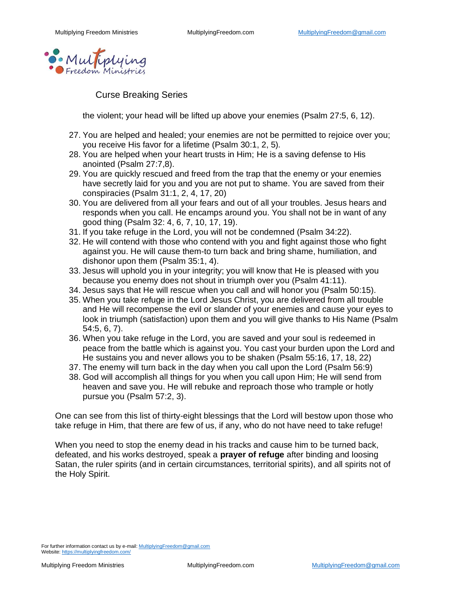

Curse Breaking Series

the violent; your head will be lifted up above your enemies (Psalm 27:5, 6, 12).

- 27. You are helped and healed; your enemies are not be permitted to rejoice over you; you receive His favor for a lifetime (Psalm 30:1, 2, 5).
- 28. You are helped when your heart trusts in Him; He is a saving defense to His anointed (Psalm 27:7,8).
- 29. You are quickly rescued and freed from the trap that the enemy or your enemies have secretly laid for you and you are not put to shame. You are saved from their conspiracies (Psalm 31:1, 2, 4, 17, 20)
- 30. You are delivered from all your fears and out of all your troubles. Jesus hears and responds when you call. He encamps around you. You shall not be in want of any good thing (Psalm 32: 4, 6, 7, 10, 17, 19).
- 31. If you take refuge in the Lord, you will not be condemned (Psalm 34:22).
- 32. He will contend with those who contend with you and fight against those who fight against you. He will cause them-to turn back and bring shame, humiliation, and dishonor upon them (Psalm 35:1, 4).
- 33. Jesus will uphold you in your integrity; you will know that He is pleased with you because you enemy does not shout in triumph over you (Psalm 41:11).
- 34. Jesus says that He will rescue when you call and will honor you (Psalm 50:15).
- 35. When you take refuge in the Lord Jesus Christ, you are delivered from all trouble and He will recompense the evil or slander of your enemies and cause your eyes to look in triumph (satisfaction) upon them and you will give thanks to His Name (Psalm 54:5, 6, 7).
- 36. When you take refuge in the Lord, you are saved and your soul is redeemed in peace from the battle which is against you. You cast your burden upon the Lord and He sustains you and never allows you to be shaken (Psalm 55:16, 17, 18, 22)
- 37. The enemy will turn back in the day when you call upon the Lord (Psalm 56:9)
- 38. God will accomplish all things for you when you call upon Him; He will send from heaven and save you. He will rebuke and reproach those who trample or hotly pursue you (Psalm 57:2, 3).

One can see from this list of thirty-eight blessings that the Lord will bestow upon those who take refuge in Him, that there are few of us, if any, who do not have need to take refuge!

When you need to stop the enemy dead in his tracks and cause him to be turned back, defeated, and his works destroyed, speak a **prayer of refuge** after binding and loosing Satan, the ruler spirits (and in certain circumstances, territorial spirits), and all spirits not of the Holy Spirit.

For further information contact us by e-mail[: MultiplyingFreedom@gmail.com](mailto:MultiplyingFreedom@gmail.com) Website[: https://multiplyingfreedom.com/](https://multiplyingfreedom.com/)